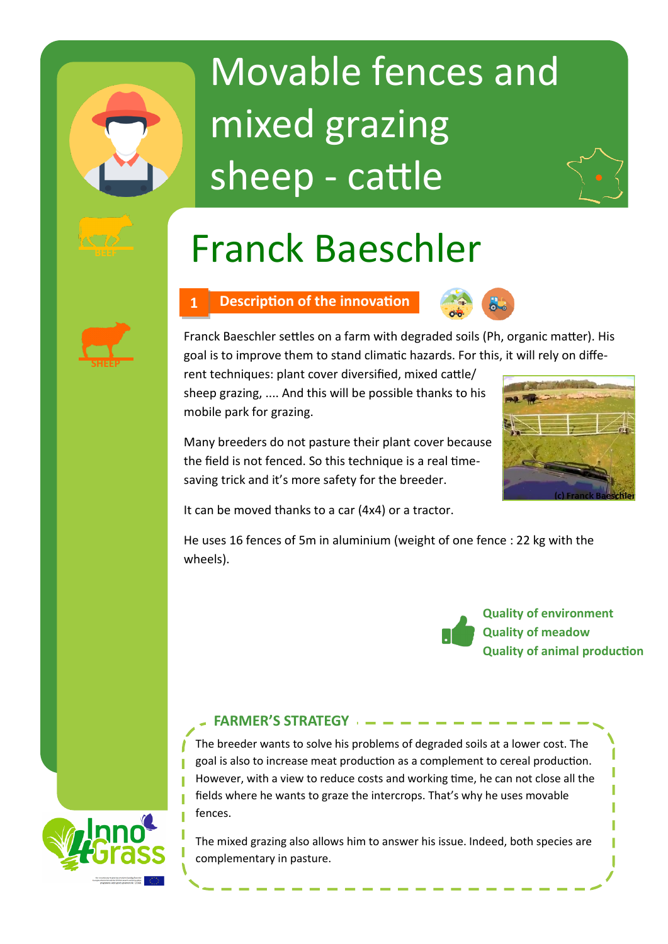# Movable fences and mixed grazing sheep - cattle

## Franck Baeschler

## **1 Description of the innovation**



Franck Baeschler settles on a farm with degraded soils (Ph, organic matter). His goal is to improve them to stand climatic hazards. For this, it will rely on diffe-

rent techniques: plant cover diversified, mixed cattle/ sheep grazing, .... And this will be possible thanks to his mobile park for grazing.

Many breeders do not pasture their plant cover because the field is not fenced. So this technique is a real timesaving trick and it's more safety for the breeder.



It can be moved thanks to a car (4x4) or a tractor.

He uses 16 fences of 5m in aluminium (weight of one fence : 22 kg with the wheels).



### **FARMER'S STRATEGY**

The breeder wants to solve his problems of degraded soils at a lower cost. The goal is also to increase meat production as a complement to cereal production. However, with a view to reduce costs and working time, he can not close all the fields where he wants to graze the intercrops. That's why he uses movable fences.

The mixed grazing also allows him to answer his issue. Indeed, both species are complementary in pasture.